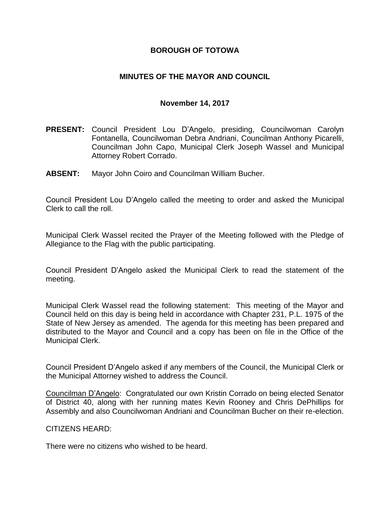## **BOROUGH OF TOTOWA**

## **MINUTES OF THE MAYOR AND COUNCIL**

#### **November 14, 2017**

- **PRESENT:** Council President Lou D'Angelo, presiding, Councilwoman Carolyn Fontanella, Councilwoman Debra Andriani, Councilman Anthony Picarelli, Councilman John Capo, Municipal Clerk Joseph Wassel and Municipal Attorney Robert Corrado.
- **ABSENT:** Mayor John Coiro and Councilman William Bucher.

Council President Lou D'Angelo called the meeting to order and asked the Municipal Clerk to call the roll.

Municipal Clerk Wassel recited the Prayer of the Meeting followed with the Pledge of Allegiance to the Flag with the public participating.

Council President D'Angelo asked the Municipal Clerk to read the statement of the meeting.

Municipal Clerk Wassel read the following statement: This meeting of the Mayor and Council held on this day is being held in accordance with Chapter 231, P.L. 1975 of the State of New Jersey as amended. The agenda for this meeting has been prepared and distributed to the Mayor and Council and a copy has been on file in the Office of the Municipal Clerk.

Council President D'Angelo asked if any members of the Council, the Municipal Clerk or the Municipal Attorney wished to address the Council.

Councilman D'Angelo: Congratulated our own Kristin Corrado on being elected Senator of District 40, along with her running mates Kevin Rooney and Chris DePhillips for Assembly and also Councilwoman Andriani and Councilman Bucher on their re-election.

CITIZENS HEARD:

There were no citizens who wished to be heard.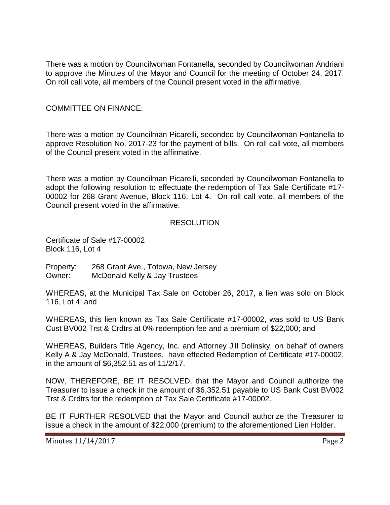There was a motion by Councilwoman Fontanella, seconded by Councilwoman Andriani to approve the Minutes of the Mayor and Council for the meeting of October 24, 2017. On roll call vote, all members of the Council present voted in the affirmative.

## COMMITTEE ON FINANCE:

There was a motion by Councilman Picarelli, seconded by Councilwoman Fontanella to approve Resolution No. 2017-23 for the payment of bills. On roll call vote, all members of the Council present voted in the affirmative.

There was a motion by Councilman Picarelli, seconded by Councilwoman Fontanella to adopt the following resolution to effectuate the redemption of Tax Sale Certificate #17- 00002 for 268 Grant Avenue, Block 116, Lot 4. On roll call vote, all members of the Council present voted in the affirmative.

#### RESOLUTION

Certificate of Sale #17-00002 Block 116, Lot 4

Property: 268 Grant Ave., Totowa, New Jersey Owner: McDonald Kelly & Jay Trustees

WHEREAS, at the Municipal Tax Sale on October 26, 2017, a lien was sold on Block 116, Lot 4; and

WHEREAS, this lien known as Tax Sale Certificate #17-00002, was sold to US Bank Cust BV002 Trst & Crdtrs at 0% redemption fee and a premium of \$22,000; and

WHEREAS, Builders Title Agency, Inc. and Attorney Jill Dolinsky, on behalf of owners Kelly A & Jay McDonald, Trustees, have effected Redemption of Certificate #17-00002, in the amount of \$6,352.51 as of 11/2/17.

NOW, THEREFORE, BE IT RESOLVED, that the Mayor and Council authorize the Treasurer to issue a check in the amount of \$6,352.51 payable to US Bank Cust BV002 Trst & Crdtrs for the redemption of Tax Sale Certificate #17-00002.

BE IT FURTHER RESOLVED that the Mayor and Council authorize the Treasurer to issue a check in the amount of \$22,000 (premium) to the aforementioned Lien Holder.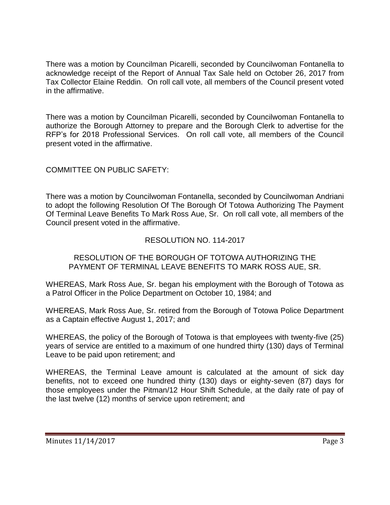There was a motion by Councilman Picarelli, seconded by Councilwoman Fontanella to acknowledge receipt of the Report of Annual Tax Sale held on October 26, 2017 from Tax Collector Elaine Reddin. On roll call vote, all members of the Council present voted in the affirmative.

There was a motion by Councilman Picarelli, seconded by Councilwoman Fontanella to authorize the Borough Attorney to prepare and the Borough Clerk to advertise for the RFP's for 2018 Professional Services. On roll call vote, all members of the Council present voted in the affirmative.

## COMMITTEE ON PUBLIC SAFETY:

There was a motion by Councilwoman Fontanella, seconded by Councilwoman Andriani to adopt the following Resolution Of The Borough Of Totowa Authorizing The Payment Of Terminal Leave Benefits To Mark Ross Aue, Sr. On roll call vote, all members of the Council present voted in the affirmative.

## RESOLUTION NO. 114-2017

### RESOLUTION OF THE BOROUGH OF TOTOWA AUTHORIZING THE PAYMENT OF TERMINAL LEAVE BENEFITS TO MARK ROSS AUE, SR.

WHEREAS, Mark Ross Aue, Sr. began his employment with the Borough of Totowa as a Patrol Officer in the Police Department on October 10, 1984; and

WHEREAS, Mark Ross Aue, Sr. retired from the Borough of Totowa Police Department as a Captain effective August 1, 2017; and

WHEREAS, the policy of the Borough of Totowa is that employees with twenty-five (25) years of service are entitled to a maximum of one hundred thirty (130) days of Terminal Leave to be paid upon retirement; and

WHEREAS, the Terminal Leave amount is calculated at the amount of sick day benefits, not to exceed one hundred thirty (130) days or eighty-seven (87) days for those employees under the Pitman/12 Hour Shift Schedule, at the daily rate of pay of the last twelve (12) months of service upon retirement; and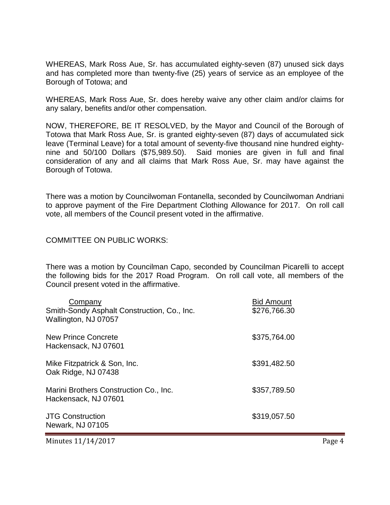WHEREAS, Mark Ross Aue, Sr. has accumulated eighty-seven (87) unused sick days and has completed more than twenty-five (25) years of service as an employee of the Borough of Totowa; and

WHEREAS, Mark Ross Aue, Sr. does hereby waive any other claim and/or claims for any salary, benefits and/or other compensation.

NOW, THEREFORE, BE IT RESOLVED, by the Mayor and Council of the Borough of Totowa that Mark Ross Aue, Sr. is granted eighty-seven (87) days of accumulated sick leave (Terminal Leave) for a total amount of seventy-five thousand nine hundred eightynine and 50/100 Dollars (\$75,989.50). Said monies are given in full and final consideration of any and all claims that Mark Ross Aue, Sr. may have against the Borough of Totowa.

There was a motion by Councilwoman Fontanella, seconded by Councilwoman Andriani to approve payment of the Fire Department Clothing Allowance for 2017. On roll call vote, all members of the Council present voted in the affirmative.

#### COMMITTEE ON PUBLIC WORKS:

There was a motion by Councilman Capo, seconded by Councilman Picarelli to accept the following bids for the 2017 Road Program. On roll call vote, all members of the Council present voted in the affirmative.

| Company<br>Smith-Sondy Asphalt Construction, Co., Inc.<br>Wallington, NJ 07057 | <b>Bid Amount</b><br>\$276,766.30 |
|--------------------------------------------------------------------------------|-----------------------------------|
| New Prince Concrete<br>Hackensack, NJ 07601                                    | \$375,764.00                      |
| Mike Fitzpatrick & Son, Inc.<br>Oak Ridge, NJ 07438                            | \$391,482.50                      |
| Marini Brothers Construction Co., Inc.<br>Hackensack, NJ 07601                 | \$357,789.50                      |
| <b>JTG Construction</b><br>Newark, NJ 07105                                    | \$319,057.50                      |

Minutes 11/14/2017 Page 4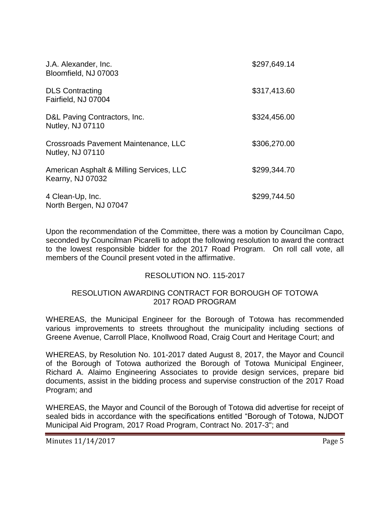| J.A. Alexander, Inc.<br>Bloomfield, NJ 07003                 | \$297,649.14 |
|--------------------------------------------------------------|--------------|
| <b>DLS Contracting</b><br>Fairfield, NJ 07004                | \$317,413.60 |
| D&L Paving Contractors, Inc.<br>Nutley, NJ 07110             | \$324,456.00 |
| Crossroads Pavement Maintenance, LLC<br>Nutley, NJ 07110     | \$306,270.00 |
| American Asphalt & Milling Services, LLC<br>Kearny, NJ 07032 | \$299,344.70 |
| 4 Clean-Up, Inc.<br>North Bergen, NJ 07047                   | \$299,744.50 |

Upon the recommendation of the Committee, there was a motion by Councilman Capo, seconded by Councilman Picarelli to adopt the following resolution to award the contract to the lowest responsible bidder for the 2017 Road Program. On roll call vote, all members of the Council present voted in the affirmative.

## RESOLUTION NO. 115-2017

#### RESOLUTION AWARDING CONTRACT FOR BOROUGH OF TOTOWA 2017 ROAD PROGRAM

WHEREAS, the Municipal Engineer for the Borough of Totowa has recommended various improvements to streets throughout the municipality including sections of Greene Avenue, Carroll Place, Knollwood Road, Craig Court and Heritage Court; and

WHEREAS, by Resolution No. 101-2017 dated August 8, 2017, the Mayor and Council of the Borough of Totowa authorized the Borough of Totowa Municipal Engineer, Richard A. Alaimo Engineering Associates to provide design services, prepare bid documents, assist in the bidding process and supervise construction of the 2017 Road Program; and

WHEREAS, the Mayor and Council of the Borough of Totowa did advertise for receipt of sealed bids in accordance with the specifications entitled "Borough of Totowa, NJDOT Municipal Aid Program, 2017 Road Program, Contract No. 2017-3"; and

Minutes 11/14/2017 Page 5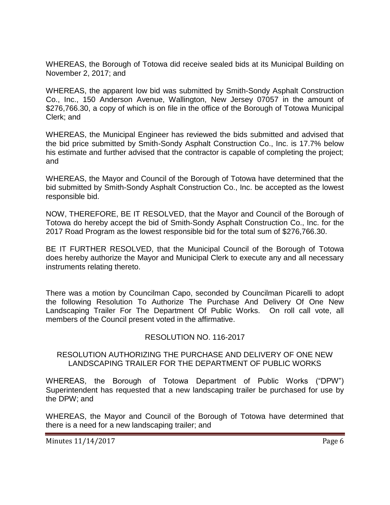WHEREAS, the Borough of Totowa did receive sealed bids at its Municipal Building on November 2, 2017; and

WHEREAS, the apparent low bid was submitted by Smith-Sondy Asphalt Construction Co., Inc., 150 Anderson Avenue, Wallington, New Jersey 07057 in the amount of \$276,766.30, a copy of which is on file in the office of the Borough of Totowa Municipal Clerk; and

WHEREAS, the Municipal Engineer has reviewed the bids submitted and advised that the bid price submitted by Smith-Sondy Asphalt Construction Co., Inc. is 17.7% below his estimate and further advised that the contractor is capable of completing the project; and

WHEREAS, the Mayor and Council of the Borough of Totowa have determined that the bid submitted by Smith-Sondy Asphalt Construction Co., Inc. be accepted as the lowest responsible bid.

NOW, THEREFORE, BE IT RESOLVED, that the Mayor and Council of the Borough of Totowa do hereby accept the bid of Smith-Sondy Asphalt Construction Co., Inc. for the 2017 Road Program as the lowest responsible bid for the total sum of \$276,766.30.

BE IT FURTHER RESOLVED, that the Municipal Council of the Borough of Totowa does hereby authorize the Mayor and Municipal Clerk to execute any and all necessary instruments relating thereto.

There was a motion by Councilman Capo, seconded by Councilman Picarelli to adopt the following Resolution To Authorize The Purchase And Delivery Of One New Landscaping Trailer For The Department Of Public Works. On roll call vote, all members of the Council present voted in the affirmative.

## RESOLUTION NO. 116-2017

### RESOLUTION AUTHORIZING THE PURCHASE AND DELIVERY OF ONE NEW LANDSCAPING TRAILER FOR THE DEPARTMENT OF PUBLIC WORKS

WHEREAS, the Borough of Totowa Department of Public Works ("DPW") Superintendent has requested that a new landscaping trailer be purchased for use by the DPW; and

WHEREAS, the Mayor and Council of the Borough of Totowa have determined that there is a need for a new landscaping trailer; and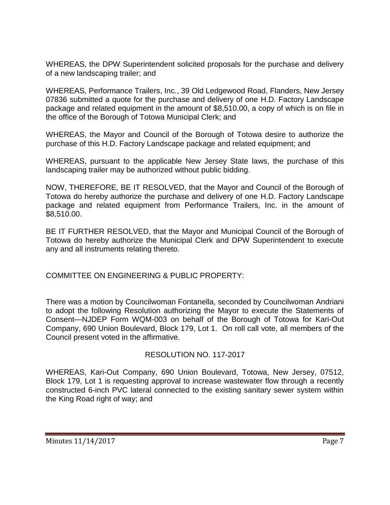WHEREAS, the DPW Superintendent solicited proposals for the purchase and delivery of a new landscaping trailer; and

WHEREAS, Performance Trailers, Inc., 39 Old Ledgewood Road, Flanders, New Jersey 07836 submitted a quote for the purchase and delivery of one H.D. Factory Landscape package and related equipment in the amount of \$8,510.00, a copy of which is on file in the office of the Borough of Totowa Municipal Clerk; and

WHEREAS, the Mayor and Council of the Borough of Totowa desire to authorize the purchase of this H.D. Factory Landscape package and related equipment; and

WHEREAS, pursuant to the applicable New Jersey State laws, the purchase of this landscaping trailer may be authorized without public bidding.

NOW, THEREFORE, BE IT RESOLVED, that the Mayor and Council of the Borough of Totowa do hereby authorize the purchase and delivery of one H.D. Factory Landscape package and related equipment from Performance Trailers, Inc. in the amount of \$8,510.00.

BE IT FURTHER RESOLVED, that the Mayor and Municipal Council of the Borough of Totowa do hereby authorize the Municipal Clerk and DPW Superintendent to execute any and all instruments relating thereto.

COMMITTEE ON ENGINEERING & PUBLIC PROPERTY:

There was a motion by Councilwoman Fontanella, seconded by Councilwoman Andriani to adopt the following Resolution authorizing the Mayor to execute the Statements of Consent—NJDEP Form WQM-003 on behalf of the Borough of Totowa for Kari-Out Company, 690 Union Boulevard, Block 179, Lot 1. On roll call vote, all members of the Council present voted in the affirmative.

## RESOLUTION NO. 117-2017

WHEREAS, Kari-Out Company, 690 Union Boulevard, Totowa, New Jersey, 07512, Block 179, Lot 1 is requesting approval to increase wastewater flow through a recently constructed 6-inch PVC lateral connected to the existing sanitary sewer system within the King Road right of way; and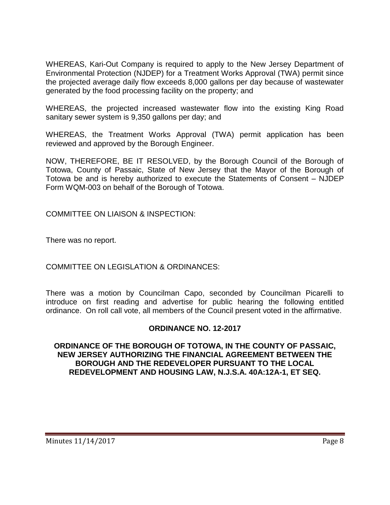WHEREAS, Kari-Out Company is required to apply to the New Jersey Department of Environmental Protection (NJDEP) for a Treatment Works Approval (TWA) permit since the projected average daily flow exceeds 8,000 gallons per day because of wastewater generated by the food processing facility on the property; and

WHEREAS, the projected increased wastewater flow into the existing King Road sanitary sewer system is 9,350 gallons per day; and

WHEREAS, the Treatment Works Approval (TWA) permit application has been reviewed and approved by the Borough Engineer.

NOW, THEREFORE, BE IT RESOLVED, by the Borough Council of the Borough of Totowa, County of Passaic, State of New Jersey that the Mayor of the Borough of Totowa be and is hereby authorized to execute the Statements of Consent – NJDEP Form WQM-003 on behalf of the Borough of Totowa.

COMMITTEE ON LIAISON & INSPECTION:

There was no report.

COMMITTEE ON LEGISLATION & ORDINANCES:

There was a motion by Councilman Capo, seconded by Councilman Picarelli to introduce on first reading and advertise for public hearing the following entitled ordinance. On roll call vote, all members of the Council present voted in the affirmative.

#### **ORDINANCE NO. 12-2017**

**ORDINANCE OF THE BOROUGH OF TOTOWA, IN THE COUNTY OF PASSAIC, NEW JERSEY AUTHORIZING THE FINANCIAL AGREEMENT BETWEEN THE BOROUGH AND THE REDEVELOPER PURSUANT TO THE LOCAL REDEVELOPMENT AND HOUSING LAW, N.J.S.A. 40A:12A-1, ET SEQ.**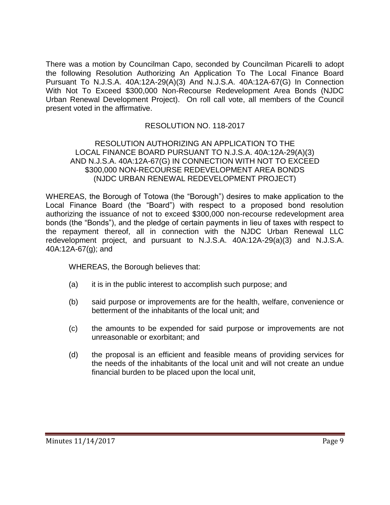There was a motion by Councilman Capo, seconded by Councilman Picarelli to adopt the following Resolution Authorizing An Application To The Local Finance Board Pursuant To N.J.S.A. 40A:12A-29(A)(3) And N.J.S.A. 40A:12A-67(G) In Connection With Not To Exceed \$300,000 Non-Recourse Redevelopment Area Bonds (NJDC Urban Renewal Development Project). On roll call vote, all members of the Council present voted in the affirmative.

## RESOLUTION NO. 118-2017

#### RESOLUTION AUTHORIZING AN APPLICATION TO THE LOCAL FINANCE BOARD PURSUANT TO N.J.S.A. 40A:12A-29(A)(3) AND N.J.S.A. 40A:12A-67(G) IN CONNECTION WITH NOT TO EXCEED \$300,000 NON-RECOURSE REDEVELOPMENT AREA BONDS (NJDC URBAN RENEWAL REDEVELOPMENT PROJECT)

WHEREAS, the Borough of Totowa (the "Borough") desires to make application to the Local Finance Board (the "Board") with respect to a proposed bond resolution authorizing the issuance of not to exceed \$300,000 non-recourse redevelopment area bonds (the "Bonds"), and the pledge of certain payments in lieu of taxes with respect to the repayment thereof, all in connection with the NJDC Urban Renewal LLC redevelopment project, and pursuant to N.J.S.A. 40A:12A-29(a)(3) and N.J.S.A. 40A:12A-67(g); and

WHEREAS, the Borough believes that:

- (a) it is in the public interest to accomplish such purpose; and
- (b) said purpose or improvements are for the health, welfare, convenience or betterment of the inhabitants of the local unit; and
- (c) the amounts to be expended for said purpose or improvements are not unreasonable or exorbitant; and
- (d) the proposal is an efficient and feasible means of providing services for the needs of the inhabitants of the local unit and will not create an undue financial burden to be placed upon the local unit,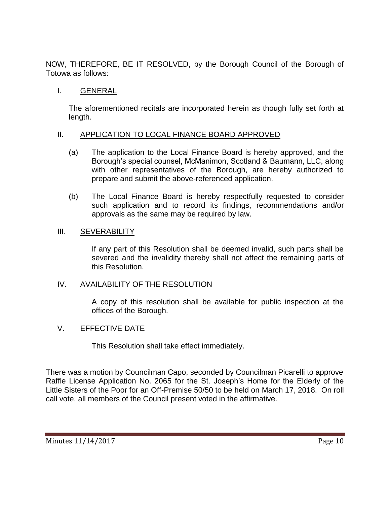NOW, THEREFORE, BE IT RESOLVED, by the Borough Council of the Borough of Totowa as follows:

# I. GENERAL

The aforementioned recitals are incorporated herein as though fully set forth at length.

### II. APPLICATION TO LOCAL FINANCE BOARD APPROVED

- (a) The application to the Local Finance Board is hereby approved, and the Borough's special counsel, McManimon, Scotland & Baumann, LLC, along with other representatives of the Borough, are hereby authorized to prepare and submit the above-referenced application.
- (b) The Local Finance Board is hereby respectfully requested to consider such application and to record its findings, recommendations and/or approvals as the same may be required by law.

### III. SEVERABILITY

If any part of this Resolution shall be deemed invalid, such parts shall be severed and the invalidity thereby shall not affect the remaining parts of this Resolution.

#### IV. AVAILABILITY OF THE RESOLUTION

A copy of this resolution shall be available for public inspection at the offices of the Borough.

## V. EFFECTIVE DATE

This Resolution shall take effect immediately.

There was a motion by Councilman Capo, seconded by Councilman Picarelli to approve Raffle License Application No. 2065 for the St. Joseph's Home for the Elderly of the Little Sisters of the Poor for an Off-Premise 50/50 to be held on March 17, 2018. On roll call vote, all members of the Council present voted in the affirmative.